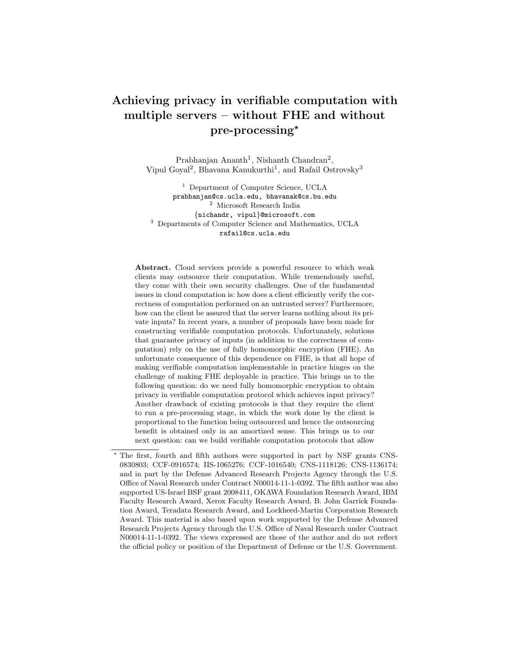# Achieving privacy in verifiable computation with multiple servers – without FHE and without pre-processing?

Prabhanjan Ananth<sup>1</sup>, Nishanth Chandran<sup>2</sup>, Vipul Goyal<sup>2</sup>, Bhavana Kanukurthi<sup>1</sup>, and Rafail Ostrovsky<sup>3</sup>

<sup>1</sup> Department of Computer Science, UCLA prabhanjan@cs.ucla.edu, bhavanak@cs.bu.edu <sup>2</sup> Microsoft Research India {nichandr, vipul}@microsoft.com <sup>3</sup> Departments of Computer Science and Mathematics, UCLA rafail@cs.ucla.edu

Abstract. Cloud services provide a powerful resource to which weak clients may outsource their computation. While tremendously useful, they come with their own security challenges. One of the fundamental issues in cloud computation is: how does a client efficiently verify the correctness of computation performed on an untrusted server? Furthermore, how can the client be assured that the server learns nothing about its private inputs? In recent years, a number of proposals have been made for constructing verifiable computation protocols. Unfortunately, solutions that guarantee privacy of inputs (in addition to the correctness of computation) rely on the use of fully homomorphic encryption (FHE). An unfortunate consequence of this dependence on FHE, is that all hope of making verifiable computation implementable in practice hinges on the challenge of making FHE deployable in practice. This brings us to the following question: do we need fully homomorphic encryption to obtain privacy in verifiable computation protocol which achieves input privacy? Another drawback of existing protocols is that they require the client to run a pre-processing stage, in which the work done by the client is proportional to the function being outsourced and hence the outsourcing benefit is obtained only in an amortized sense. This brings us to our next question: can we build verifiable computation protocols that allow

The first, fourth and fifth authors were supported in part by NSF grants CNS-0830803; CCF-0916574; IIS-1065276; CCF-1016540; CNS-1118126; CNS-1136174; and in part by the Defense Advanced Research Projects Agency through the U.S. Office of Naval Research under Contract N00014-11-1-0392. The fifth author was also supported US-Israel BSF grant 2008411, OKAWA Foundation Research Award, IBM Faculty Research Award, Xerox Faculty Research Award, B. John Garrick Foundation Award, Teradata Research Award, and Lockheed-Martin Corporation Research Award. This material is also based upon work supported by the Defense Advanced Research Projects Agency through the U.S. Office of Naval Research under Contract N00014-11-1-0392. The views expressed are those of the author and do not reflect the official policy or position of the Department of Defense or the U.S. Government.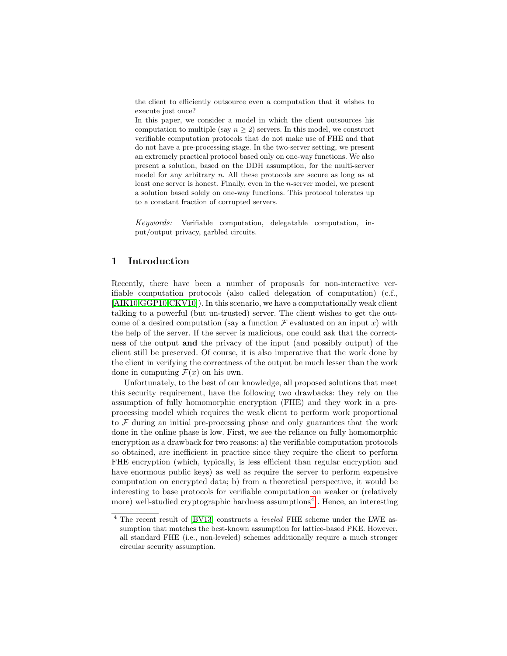the client to efficiently outsource even a computation that it wishes to execute just once?

In this paper, we consider a model in which the client outsources his computation to multiple (say  $n \geq 2$ ) servers. In this model, we construct verifiable computation protocols that do not make use of FHE and that do not have a pre-processing stage. In the two-server setting, we present an extremely practical protocol based only on one-way functions. We also present a solution, based on the DDH assumption, for the multi-server model for any arbitrary  $n$ . All these protocols are secure as long as at least one server is honest. Finally, even in the n-server model, we present a solution based solely on one-way functions. This protocol tolerates up to a constant fraction of corrupted servers.

Keywords: Verifiable computation, delegatable computation, input/output privacy, garbled circuits.

# 1 Introduction

Recently, there have been a number of proposals for non-interactive verifiable computation protocols (also called delegation of computation) (c.f., [\[AIK10](#page-15-0)[,GGP10](#page-16-0)[,CKV10\]](#page-16-1)). In this scenario, we have a computationally weak client talking to a powerful (but un-trusted) server. The client wishes to get the outcome of a desired computation (say a function  $\mathcal F$  evaluated on an input x) with the help of the server. If the server is malicious, one could ask that the correctness of the output and the privacy of the input (and possibly output) of the client still be preserved. Of course, it is also imperative that the work done by the client in verifying the correctness of the output be much lesser than the work done in computing  $\mathcal{F}(x)$  on his own.

Unfortunately, to the best of our knowledge, all proposed solutions that meet this security requirement, have the following two drawbacks: they rely on the assumption of fully homomorphic encryption (FHE) and they work in a preprocessing model which requires the weak client to perform work proportional to  $\mathcal F$  during an initial pre-processing phase and only guarantees that the work done in the online phase is low. First, we see the reliance on fully homomorphic encryption as a drawback for two reasons: a) the verifiable computation protocols so obtained, are inefficient in practice since they require the client to perform FHE encryption (which, typically, is less efficient than regular encryption and have enormous public keys) as well as require the server to perform expensive computation on encrypted data; b) from a theoretical perspective, it would be interesting to base protocols for verifiable computation on weaker or (relatively more) well-studied cryptographic hardness assumptions<sup>[4](#page-1-0)</sup>. Hence, an interesting

<span id="page-1-0"></span><sup>4</sup> The recent result of [\[BV13\]](#page-16-2) constructs a leveled FHE scheme under the LWE assumption that matches the best-known assumption for lattice-based PKE. However, all standard FHE (i.e., non-leveled) schemes additionally require a much stronger circular security assumption.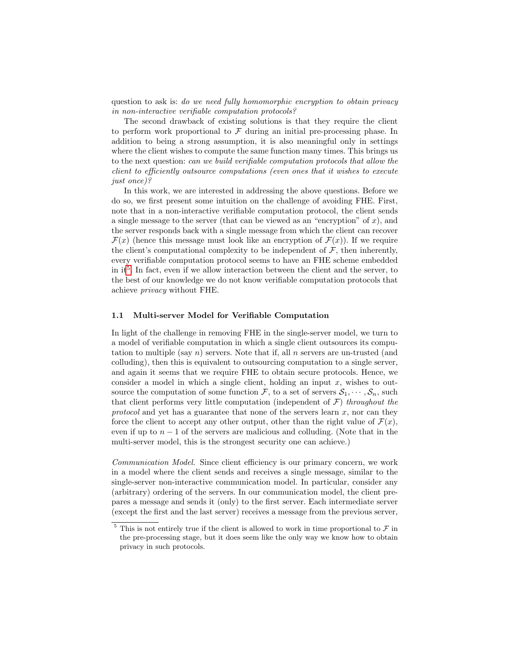question to ask is: do we need fully homomorphic encryption to obtain privacy in non-interactive verifiable computation protocols?

The second drawback of existing solutions is that they require the client to perform work proportional to  $\mathcal F$  during an initial pre-processing phase. In addition to being a strong assumption, it is also meaningful only in settings where the client wishes to compute the same function many times. This brings us to the next question: can we build verifiable computation protocols that allow the client to efficiently outsource computations (even ones that it wishes to execute just once)?

In this work, we are interested in addressing the above questions. Before we do so, we first present some intuition on the challenge of avoiding FHE. First, note that in a non-interactive verifiable computation protocol, the client sends a single message to the server (that can be viewed as an "encryption" of  $x$ ), and the server responds back with a single message from which the client can recover  $\mathcal{F}(x)$  (hence this message must look like an encryption of  $\mathcal{F}(x)$ ). If we require the client's computational complexity to be independent of  $\mathcal F$ , then inherently, every verifiable computation protocol seems to have an FHE scheme embedded in it<sup>[5](#page-2-0)</sup>. In fact, even if we allow interaction between the client and the server, to the best of our knowledge we do not know verifiable computation protocols that achieve privacy without FHE.

#### 1.1 Multi-server Model for Verifiable Computation

In light of the challenge in removing FHE in the single-server model, we turn to a model of verifiable computation in which a single client outsources its computation to multiple (say  $n$ ) servers. Note that if, all  $n$  servers are un-trusted (and colluding), then this is equivalent to outsourcing computation to a single server, and again it seems that we require FHE to obtain secure protocols. Hence, we consider a model in which a single client, holding an input  $x$ , wishes to outsource the computation of some function F, to a set of servers  $S_1, \dots, S_n$ , such that client performs very little computation (independent of  $\mathcal{F}$ ) throughout the protocol and yet has a guarantee that none of the servers learn  $x$ , nor can they force the client to accept any other output, other than the right value of  $\mathcal{F}(x)$ , even if up to  $n - 1$  of the servers are malicious and colluding. (Note that in the multi-server model, this is the strongest security one can achieve.)

Communication Model. Since client efficiency is our primary concern, we work in a model where the client sends and receives a single message, similar to the single-server non-interactive communication model. In particular, consider any (arbitrary) ordering of the servers. In our communication model, the client prepares a message and sends it (only) to the first server. Each intermediate server (except the first and the last server) receives a message from the previous server,

<span id="page-2-0"></span> $5$  This is not entirely true if the client is allowed to work in time proportional to  $\mathcal F$  in the pre-processing stage, but it does seem like the only way we know how to obtain privacy in such protocols.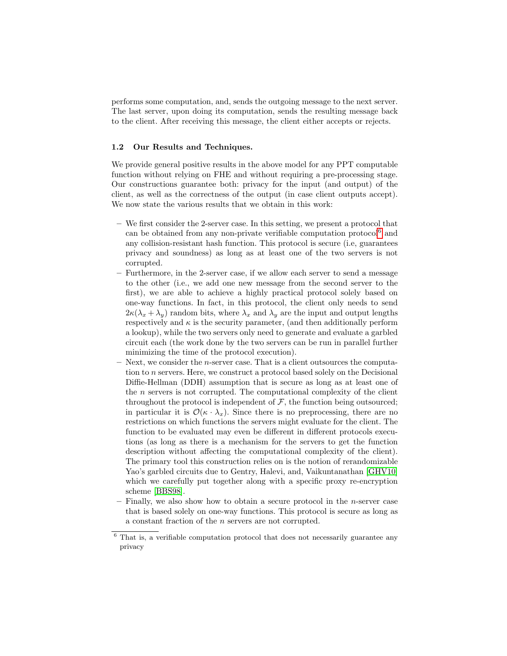performs some computation, and, sends the outgoing message to the next server. The last server, upon doing its computation, sends the resulting message back to the client. After receiving this message, the client either accepts or rejects.

#### 1.2 Our Results and Techniques.

We provide general positive results in the above model for any PPT computable function without relying on FHE and without requiring a pre-processing stage. Our constructions guarantee both: privacy for the input (and output) of the client, as well as the correctness of the output (in case client outputs accept). We now state the various results that we obtain in this work:

- We first consider the 2-server case. In this setting, we present a protocol that can be obtained from any non-private verifiable computation protocol $^6$  $^6$  and any collision-resistant hash function. This protocol is secure (i.e, guarantees privacy and soundness) as long as at least one of the two servers is not corrupted.
- Furthermore, in the 2-server case, if we allow each server to send a message to the other (i.e., we add one new message from the second server to the first), we are able to achieve a highly practical protocol solely based on one-way functions. In fact, in this protocol, the client only needs to send  $2\kappa(\lambda_x + \lambda_y)$  random bits, where  $\lambda_x$  and  $\lambda_y$  are the input and output lengths respectively and  $\kappa$  is the security parameter, (and then additionally perform a lookup), while the two servers only need to generate and evaluate a garbled circuit each (the work done by the two servers can be run in parallel further minimizing the time of the protocol execution).
- Next, we consider the n-server case. That is a client outsources the computation to n servers. Here, we construct a protocol based solely on the Decisional Diffie-Hellman (DDH) assumption that is secure as long as at least one of the  $n$  servers is not corrupted. The computational complexity of the client throughout the protocol is independent of  $\mathcal F$ , the function being outsourced; in particular it is  $\mathcal{O}(\kappa \cdot \lambda_x)$ . Since there is no preprocessing, there are no restrictions on which functions the servers might evaluate for the client. The function to be evaluated may even be different in different protocols executions (as long as there is a mechanism for the servers to get the function description without affecting the computational complexity of the client). The primary tool this construction relies on is the notion of rerandomizable Yao's garbled circuits due to Gentry, Halevi, and, Vaikuntanathan [\[GHV10\]](#page-16-3) which we carefully put together along with a specific proxy re-encryption scheme [\[BBS98\]](#page-15-1).
- $-$  Finally, we also show how to obtain a secure protocol in the *n*-server case that is based solely on one-way functions. This protocol is secure as long as a constant fraction of the n servers are not corrupted.

<span id="page-3-0"></span> $6$  That is, a verifiable computation protocol that does not necessarily guarantee any privacy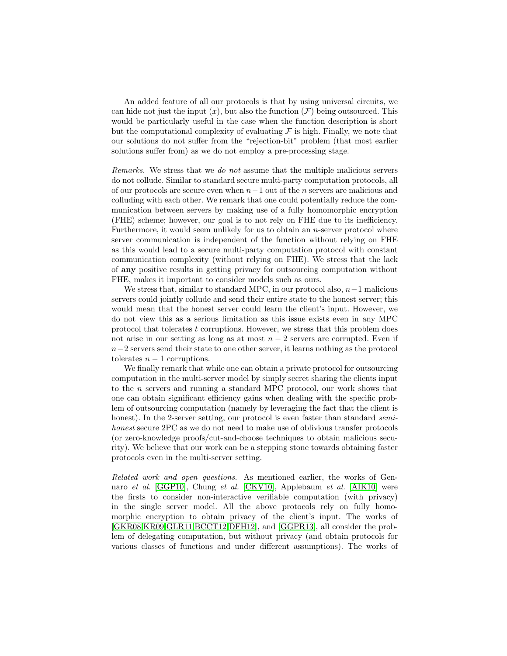An added feature of all our protocols is that by using universal circuits, we can hide not just the input  $(x)$ , but also the function  $(F)$  being outsourced. This would be particularly useful in the case when the function description is short but the computational complexity of evaluating  $\mathcal F$  is high. Finally, we note that our solutions do not suffer from the "rejection-bit" problem (that most earlier solutions suffer from) as we do not employ a pre-processing stage.

Remarks. We stress that we do not assume that the multiple malicious servers do not collude. Similar to standard secure multi-party computation protocols, all of our protocols are secure even when  $n-1$  out of the n servers are malicious and colluding with each other. We remark that one could potentially reduce the communication between servers by making use of a fully homomorphic encryption (FHE) scheme; however, our goal is to not rely on FHE due to its inefficiency. Furthermore, it would seem unlikely for us to obtain an n-server protocol where server communication is independent of the function without relying on FHE as this would lead to a secure multi-party computation protocol with constant communication complexity (without relying on FHE). We stress that the lack of any positive results in getting privacy for outsourcing computation without FHE, makes it important to consider models such as ours.

We stress that, similar to standard MPC, in our protocol also,  $n-1$  malicious servers could jointly collude and send their entire state to the honest server; this would mean that the honest server could learn the client's input. However, we do not view this as a serious limitation as this issue exists even in any MPC protocol that tolerates  $t$  corruptions. However, we stress that this problem does not arise in our setting as long as at most  $n-2$  servers are corrupted. Even if  $n-2$  servers send their state to one other server, it learns nothing as the protocol tolerates  $n - 1$  corruptions.

We finally remark that while one can obtain a private protocol for outsourcing computation in the multi-server model by simply secret sharing the clients input to the  $n$  servers and running a standard MPC protocol, our work shows that one can obtain significant efficiency gains when dealing with the specific problem of outsourcing computation (namely by leveraging the fact that the client is honest). In the 2-server setting, our protocol is even faster than standard *semi*honest secure 2PC as we do not need to make use of oblivious transfer protocols (or zero-knowledge proofs/cut-and-choose techniques to obtain malicious security). We believe that our work can be a stepping stone towards obtaining faster protocols even in the multi-server setting.

Related work and open questions. As mentioned earlier, the works of Gennaro et al. [\[GGP10\]](#page-16-0), Chung et al. [\[CKV10\]](#page-16-1), Applebaum et al. [\[AIK10\]](#page-15-0) were the firsts to consider non-interactive verifiable computation (with privacy) in the single server model. All the above protocols rely on fully homomorphic encryption to obtain privacy of the client's input. The works of [\[GKR08](#page-17-0)[,KR09](#page-17-1)[,GLR11](#page-17-2)[,BCCT12,](#page-16-4)[DFH12\]](#page-16-5), and [\[GGPR13\]](#page-16-6), all consider the problem of delegating computation, but without privacy (and obtain protocols for various classes of functions and under different assumptions). The works of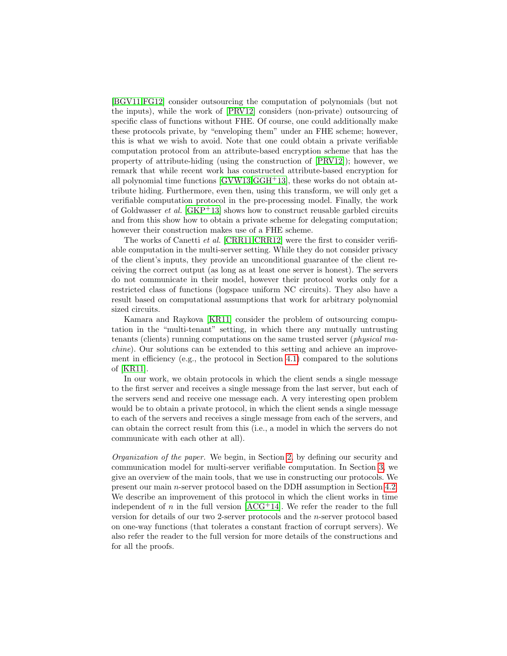[\[BGV11,](#page-16-7)[FG12\]](#page-16-8) consider outsourcing the computation of polynomials (but not the inputs), while the work of [\[PRV12\]](#page-17-3) considers (non-private) outsourcing of specific class of functions without FHE. Of course, one could additionally make these protocols private, by "enveloping them" under an FHE scheme; however, this is what we wish to avoid. Note that one could obtain a private verifiable computation protocol from an attribute-based encryption scheme that has the property of attribute-hiding (using the construction of [\[PRV12\]](#page-17-3)); however, we remark that while recent work has constructed attribute-based encryption for all polynomial time functions  $\text{GWW13,} \text{GGH+13}$  $\text{GWW13,} \text{GGH+13}$  $\text{GWW13,} \text{GGH+13}$ , these works do not obtain attribute hiding. Furthermore, even then, using this transform, we will only get a verifiable computation protocol in the pre-processing model. Finally, the work of Goldwasser *et al.* [\[GKP](#page-17-5)<sup>+</sup>13] shows how to construct reusable garbled circuits and from this show how to obtain a private scheme for delegating computation; however their construction makes use of a FHE scheme.

The works of Canetti et al. [\[CRR11,](#page-16-10)[CRR12\]](#page-16-11) were the first to consider verifiable computation in the multi-server setting. While they do not consider privacy of the client's inputs, they provide an unconditional guarantee of the client receiving the correct output (as long as at least one server is honest). The servers do not communicate in their model, however their protocol works only for a restricted class of functions (logspace uniform NC circuits). They also have a result based on computational assumptions that work for arbitrary polynomial sized circuits.

Kamara and Raykova [\[KR11\]](#page-17-6) consider the problem of outsourcing computation in the "multi-tenant" setting, in which there any mutually untrusting tenants (clients) running computations on the same trusted server (physical machine). Our solutions can be extended to this setting and achieve an improvement in efficiency (e.g., the protocol in Section [4.1\)](#page-8-0) compared to the solutions of [\[KR11\]](#page-17-6).

In our work, we obtain protocols in which the client sends a single message to the first server and receives a single message from the last server, but each of the servers send and receive one message each. A very interesting open problem would be to obtain a private protocol, in which the client sends a single message to each of the servers and receives a single message from each of the servers, and can obtain the correct result from this (i.e., a model in which the servers do not communicate with each other at all).

Organization of the paper. We begin, in Section [2,](#page-6-0) by defining our security and communication model for multi-server verifiable computation. In Section [3,](#page-6-1) we give an overview of the main tools, that we use in constructing our protocols. We present our main n-server protocol based on the DDH assumption in Section [4.2.](#page-11-0) We describe an improvement of this protocol in which the client works in time independent of n in the full version  $[ACG+14]$  $[ACG+14]$ . We refer the reader to the full version for details of our two 2-server protocols and the n-server protocol based on one-way functions (that tolerates a constant fraction of corrupt servers). We also refer the reader to the full version for more details of the constructions and for all the proofs.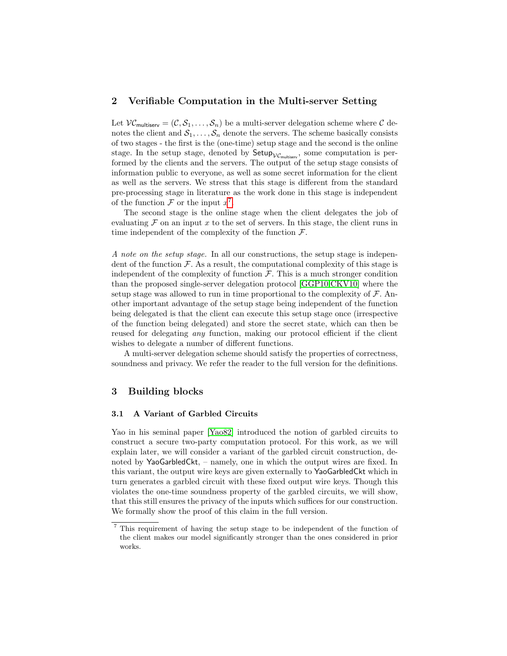## <span id="page-6-0"></span>2 Verifiable Computation in the Multi-server Setting

Let  $VC_{multiserv} = (C, S_1, \ldots, S_n)$  be a multi-server delegation scheme where C denotes the client and  $S_1, \ldots, S_n$  denote the servers. The scheme basically consists of two stages - the first is the (one-time) setup stage and the second is the online stage. In the setup stage, denoted by  $\mathsf{Setup}_{\mathcal{VC}_{multipler}},$  some computation is performed by the clients and the servers. The output of the setup stage consists of information public to everyone, as well as some secret information for the client as well as the servers. We stress that this stage is different from the standard pre-processing stage in literature as the work done in this stage is independent of the function  $\mathcal F$  or the input  $x^7$  $x^7$ .

The second stage is the online stage when the client delegates the job of evaluating  $\mathcal F$  on an input x to the set of servers. In this stage, the client runs in time independent of the complexity of the function  $\mathcal{F}$ .

A note on the setup stage. In all our constructions, the setup stage is independent of the function  $\mathcal F$ . As a result, the computational complexity of this stage is independent of the complexity of function  $\mathcal F$ . This is a much stronger condition than the proposed single-server delegation protocol [\[GGP10,](#page-16-0)[CKV10\]](#page-16-1) where the setup stage was allowed to run in time proportional to the complexity of  $\mathcal{F}$ . Another important advantage of the setup stage being independent of the function being delegated is that the client can execute this setup stage once (irrespective of the function being delegated) and store the secret state, which can then be reused for delegating *any* function, making our protocol efficient if the client wishes to delegate a number of different functions.

A multi-server delegation scheme should satisfy the properties of correctness, soundness and privacy. We refer the reader to the full version for the definitions.

## <span id="page-6-1"></span>3 Building blocks

#### <span id="page-6-3"></span>3.1 A Variant of Garbled Circuits

Yao in his seminal paper [\[Yao82\]](#page-17-7) introduced the notion of garbled circuits to construct a secure two-party computation protocol. For this work, as we will explain later, we will consider a variant of the garbled circuit construction, denoted by YaoGarbledCkt, – namely, one in which the output wires are fixed. In this variant, the output wire keys are given externally to YaoGarbledCkt which in turn generates a garbled circuit with these fixed output wire keys. Though this violates the one-time soundness property of the garbled circuits, we will show, that this still ensures the privacy of the inputs which suffices for our construction. We formally show the proof of this claim in the full version.

<span id="page-6-2"></span><sup>7</sup> This requirement of having the setup stage to be independent of the function of the client makes our model significantly stronger than the ones considered in prior works.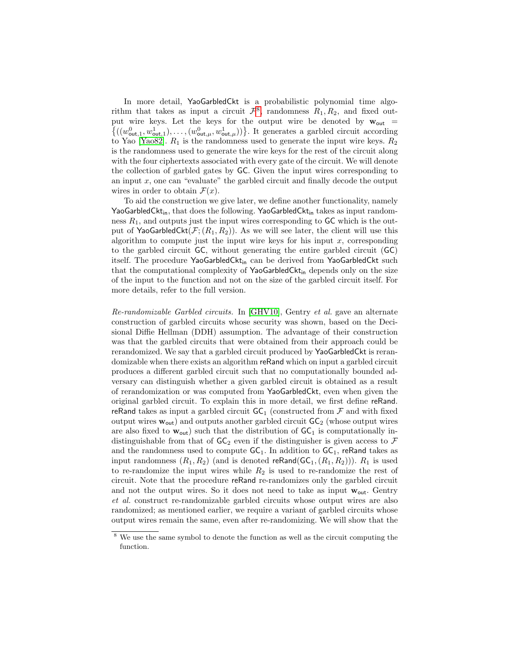In more detail, YaoGarbledCkt is a probabilistic polynomial time algorithm that takes as input a circuit  $\mathcal{F}^8$  $\mathcal{F}^8$ , randomness  $R_1, R_2$ , and fixed output wire keys. Let the keys for the output wire be denoted by  $w_{\text{out}}$  =  ${((w_{\text{out},1}^0, w_{\text{out},1}^1), \ldots, (w_{\text{out},\mu}^0, w_{\text{out},\mu}^1))}$ . It generates a garbled circuit according to Yao [\[Yao82\]](#page-17-7).  $R_1$  is the randomness used to generate the input wire keys.  $R_2$ is the randomness used to generate the wire keys for the rest of the circuit along with the four ciphertexts associated with every gate of the circuit. We will denote the collection of garbled gates by GC. Given the input wires corresponding to an input x, one can "evaluate" the garbled circuit and finally decode the output wires in order to obtain  $\mathcal{F}(x)$ .

To aid the construction we give later, we define another functionality, namely YaoGarbledCkt<sub>in</sub>, that does the following. YaoGarbledCkt<sub>in</sub> takes as input randomness  $R_1$ , and outputs just the input wires corresponding to  $GC$  which is the output of YaoGarbledCkt( $\mathcal{F}$ ;  $(R_1, R_2)$ ). As we will see later, the client will use this algorithm to compute just the input wire keys for his input  $x$ , corresponding to the garbled circuit GC, without generating the entire garbled circuit (GC) itself. The procedure YaoGarbledCkt<sub>in</sub> can be derived from YaoGarbledCkt such that the computational complexity of YaoGarbledCkt<sub>in</sub> depends only on the size of the input to the function and not on the size of the garbled circuit itself. For more details, refer to the full version.

Re-randomizable Garbled circuits. In [\[GHV10\]](#page-16-3), Gentry et al. gave an alternate construction of garbled circuits whose security was shown, based on the Decisional Diffie Hellman (DDH) assumption. The advantage of their construction was that the garbled circuits that were obtained from their approach could be rerandomized. We say that a garbled circuit produced by YaoGarbledCkt is rerandomizable when there exists an algorithm reRand which on input a garbled circuit produces a different garbled circuit such that no computationally bounded adversary can distinguish whether a given garbled circuit is obtained as a result of rerandomization or was computed from YaoGarbledCkt, even when given the original garbled circuit. To explain this in more detail, we first define reRand. reRand takes as input a garbled circuit  $GC_1$  (constructed from  $\mathcal F$  and with fixed output wires  $w_{\text{out}}$ ) and outputs another garbled circuit  $GC_2$  (whose output wires are also fixed to  $w_{\text{out}}$ ) such that the distribution of  $\mathsf{GC}_1$  is computationally indistinguishable from that of  $GC_2$  even if the distinguisher is given access to  $\mathcal F$ and the randomness used to compute  $GC_1$ . In addition to  $GC_1$ , reRand takes as input randomness  $(R_1, R_2)$  (and is denoted reRand( $\mathsf{GC}_1, (R_1, R_2)$ )).  $R_1$  is used to re-randomize the input wires while  $R_2$  is used to re-randomize the rest of circuit. Note that the procedure reRand re-randomizes only the garbled circuit and not the output wires. So it does not need to take as input  $\mathbf{w}_{\text{out}}$ . Gentry et al. construct re-randomizable garbled circuits whose output wires are also randomized; as mentioned earlier, we require a variant of garbled circuits whose output wires remain the same, even after re-randomizing. We will show that the

<span id="page-7-0"></span><sup>8</sup> We use the same symbol to denote the function as well as the circuit computing the function.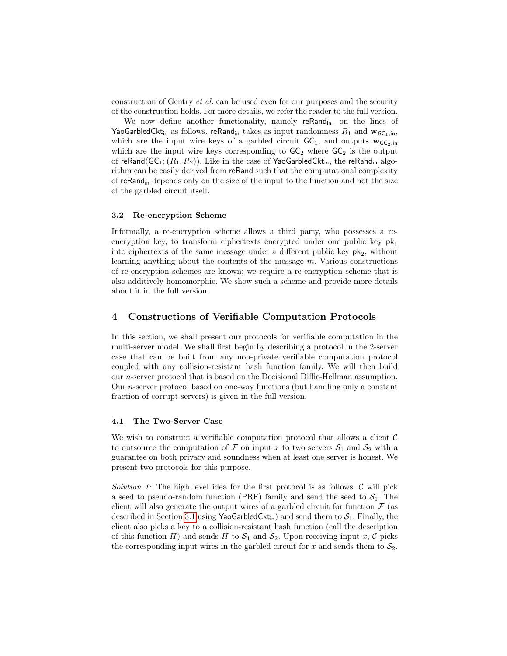construction of Gentry et al. can be used even for our purposes and the security of the construction holds. For more details, we refer the reader to the full version.

We now define another functionality, namely reRand<sub>in</sub>, on the lines of YaoGarbledCkt<sub>in</sub> as follows. reRand<sub>in</sub> takes as input randomness  $R_1$  and  $\mathbf{w}_{\mathsf{GC}_1, \mathsf{in}}$ , which are the input wire keys of a garbled circuit  $GC_1$ , and outputs  $w_{GC_2,in}$ which are the input wire keys corresponding to  $GC_2$  where  $GC_2$  is the output of reRand( $GC_1$ ;  $(R_1, R_2)$ ). Like in the case of YaoGarbledCkt<sub>in</sub>, the reRand<sub>in</sub> algorithm can be easily derived from reRand such that the computational complexity of reRand<sub>in</sub> depends only on the size of the input to the function and not the size of the garbled circuit itself.

#### 3.2 Re-encryption Scheme

Informally, a re-encryption scheme allows a third party, who possesses a reencryption key, to transform ciphertexts encrypted under one public key  $pk<sub>1</sub>$ into ciphertexts of the same message under a different public key  $pk_2$ , without learning anything about the contents of the message m. Various constructions of re-encryption schemes are known; we require a re-encryption scheme that is also additively homomorphic. We show such a scheme and provide more details about it in the full version.

## 4 Constructions of Verifiable Computation Protocols

In this section, we shall present our protocols for verifiable computation in the multi-server model. We shall first begin by describing a protocol in the 2-server case that can be built from any non-private verifiable computation protocol coupled with any collision-resistant hash function family. We will then build our n-server protocol that is based on the Decisional Diffie-Hellman assumption. Our n-server protocol based on one-way functions (but handling only a constant fraction of corrupt servers) is given in the full version.

#### <span id="page-8-0"></span>4.1 The Two-Server Case

We wish to construct a verifiable computation protocol that allows a client  $\mathcal C$ to outsource the computation of F on input x to two servers  $S_1$  and  $S_2$  with a guarantee on both privacy and soundness when at least one server is honest. We present two protocols for this purpose.

Solution 1: The high level idea for the first protocol is as follows.  $\mathcal C$  will pick a seed to pseudo-random function (PRF) family and send the seed to  $S_1$ . The client will also generate the output wires of a garbled circuit for function  $\mathcal F$  (as described in Section [3.1](#page-6-3) using YaoGarbledCkt<sub>in</sub>) and send them to  $S_1$ . Finally, the client also picks a key to a collision-resistant hash function (call the description of this function H) and sends H to  $S_1$  and  $S_2$ . Upon receiving input x, C picks the corresponding input wires in the garbled circuit for x and sends them to  $S_2$ .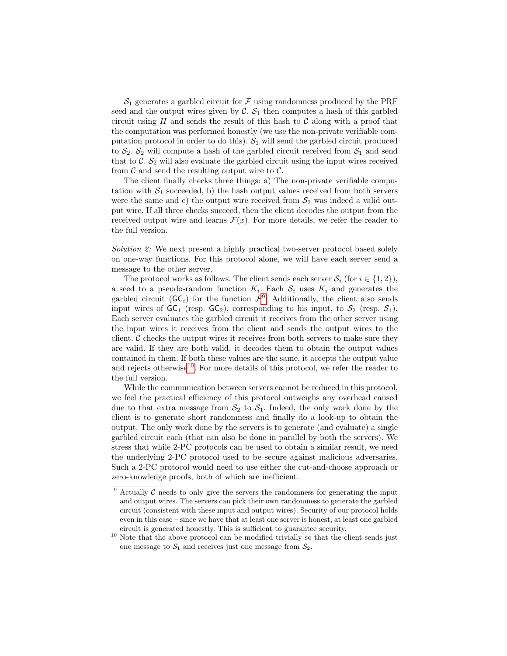$S_1$  generates a garbled circuit for  $\mathcal F$  using randomness produced by the PRF seed and the output wires given by  $C. S<sub>1</sub>$  then computes a hash of this garbled circuit using  $H$  and sends the result of this hash to  $C$  along with a proof that the computation was performed honestly (we use the non-private verifiable computation protocol in order to do this).  $S_1$  will send the garbled circuit produced to  $S_2$ .  $S_2$  will compute a hash of the garbled circuit received from  $S_1$  and send that to  $C. S_2$  will also evaluate the garbled circuit using the input wires received from  $\mathcal C$  and send the resulting output wire to  $\mathcal C$ .

The client finally checks three things: a) The non-private verifiable computation with  $S_1$  succeeded, b) the hash output values received from both servers were the same and c) the output wire received from  $S_2$  was indeed a valid output wire. If all three checks succeed, then the client decodes the output from the received output wire and learns  $\mathcal{F}(x)$ . For more details, we refer the reader to the full version.

Solution 2: We next present a highly practical two-server protocol based solely on one-way functions. For this protocol alone, we will have each server send a message to the other server.

The protocol works as follows. The client sends each server  $\mathcal{S}_i$  (for  $i \in \{1,2\}$ ), a seed to a pseudo-random function  $K_i$ . Each  $S_i$  uses  $K_i$  and generates the garbled circuit ( $\mathsf{GC}_i$ ) for the function  $\mathcal{F}^9$  $\mathcal{F}^9$ . Additionally, the client also sends input wires of  $GC_1$  (resp.  $GC_2$ ), corresponding to his input, to  $S_2$  (resp.  $S_1$ ). Each server evaluates the garbled circuit it receives from the other server using the input wires it receives from the client and sends the output wires to the client.  $\mathcal C$  checks the output wires it receives from both servers to make sure they are valid. If they are both valid, it decodes them to obtain the output values contained in them. If both these values are the same, it accepts the output value and rejects otherwise<sup>[10](#page-9-1)</sup>. For more details of this protocol, we refer the reader to the full version.

While the communication between servers cannot be reduced in this protocol, we feel the practical efficiency of this protocol outweighs any overhead caused due to that extra message from  $S_2$  to  $S_1$ . Indeed, the only work done by the client is to generate short randomness and finally do a look-up to obtain the output. The only work done by the servers is to generate (and evaluate) a single garbled circuit each (that can also be done in parallel by both the servers). We stress that while 2-PC protocols can be used to obtain a similar result, we need the underlying 2-PC protocol used to be secure against malicious adversaries. Such a 2-PC protocol would need to use either the cut-and-choose approach or zero-knowledge proofs, both of which are inefficient.

<span id="page-9-0"></span> $9$  Actually C needs to only give the servers the randomness for generating the input and output wires. The servers can pick their own randomness to generate the garbled circuit (consistent with these input and output wires). Security of our protocol holds even in this case – since we have that at least one server is honest, at least one garbled circuit is generated honestly. This is sufficient to guarantee security.

<span id="page-9-1"></span> $10$  Note that the above protocol can be modified trivially so that the client sends just one message to  $S_1$  and receives just one message from  $S_2$ .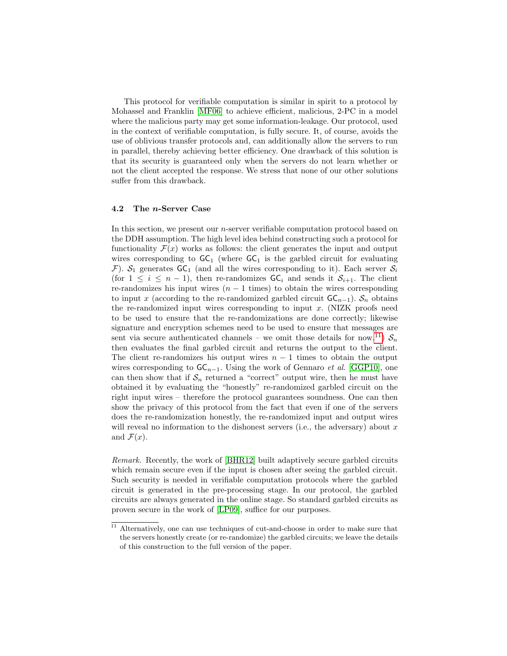This protocol for verifiable computation is similar in spirit to a protocol by Mohassel and Franklin [\[MF06\]](#page-17-8) to achieve efficient, malicious, 2-PC in a model where the malicious party may get some information-leakage. Our protocol, used in the context of verifiable computation, is fully secure. It, of course, avoids the use of oblivious transfer protocols and, can additionally allow the servers to run in parallel, thereby achieving better efficiency. One drawback of this solution is that its security is guaranteed only when the servers do not learn whether or not the client accepted the response. We stress that none of our other solutions suffer from this drawback.

#### 4.2 The n-Server Case

In this section, we present our *n*-server verifiable computation protocol based on the DDH assumption. The high level idea behind constructing such a protocol for functionality  $\mathcal{F}(x)$  works as follows: the client generates the input and output wires corresponding to  $GC_1$  (where  $GC_1$  is the garbled circuit for evaluating  $\mathcal{F}$ ).  $\mathcal{S}_1$  generates GC<sub>1</sub> (and all the wires corresponding to it). Each server  $\mathcal{S}_i$ (for  $1 \leq i \leq n-1$ ), then re-randomizes  $\mathsf{GC}_i$  and sends it  $\mathcal{S}_{i+1}$ . The client re-randomizes his input wires  $(n - 1$  times) to obtain the wires corresponding to input x (according to the re-randomized garbled circuit  $\mathsf{GC}_{n-1}$ ).  $\mathcal{S}_n$  obtains the re-randomized input wires corresponding to input  $x$ . (NIZK proofs need to be used to ensure that the re-randomizations are done correctly; likewise signature and encryption schemes need to be used to ensure that messages are sent via secure authenticated channels – we omit those details for now.<sup>[11](#page-10-0)</sup>)  $S_n$ then evaluates the final garbled circuit and returns the output to the client. The client re-randomizes his output wires  $n - 1$  times to obtain the output wires corresponding to  $GC_{n-1}$ . Using the work of Gennaro *et al.* [\[GGP10\]](#page-16-0), one can then show that if  $S_n$  returned a "correct" output wire, then he must have obtained it by evaluating the "honestly" re-randomized garbled circuit on the right input wires – therefore the protocol guarantees soundness. One can then show the privacy of this protocol from the fact that even if one of the servers does the re-randomization honestly, the re-randomized input and output wires will reveal no information to the dishonest servers (i.e., the adversary) about  $x$ and  $\mathcal{F}(x)$ .

Remark. Recently, the work of [\[BHR12\]](#page-16-12) built adaptively secure garbled circuits which remain secure even if the input is chosen after seeing the garbled circuit. Such security is needed in verifiable computation protocols where the garbled circuit is generated in the pre-processing stage. In our protocol, the garbled circuits are always generated in the online stage. So standard garbled circuits as proven secure in the work of [\[LP09\]](#page-17-9), suffice for our purposes.

<span id="page-10-0"></span><sup>&</sup>lt;sup>11</sup> Alternatively, one can use techniques of cut-and-choose in order to make sure that the servers honestly create (or re-randomize) the garbled circuits; we leave the details of this construction to the full version of the paper.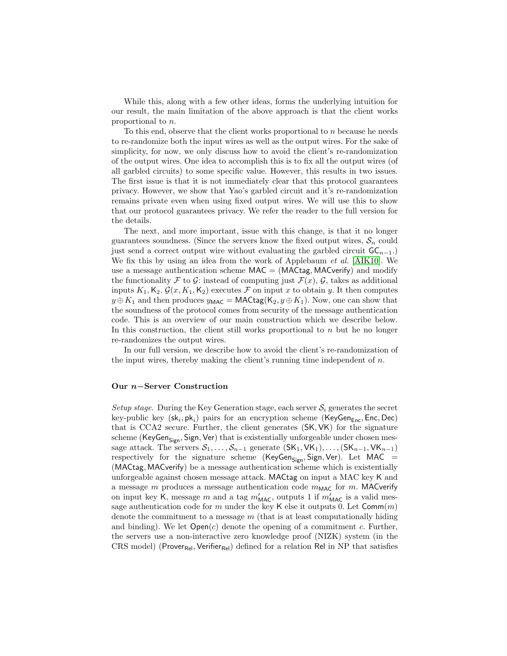While this, along with a few other ideas, forms the underlying intuition for our result, the main limitation of the above approach is that the client works proportional to n.

To this end, observe that the client works proportional to  $n$  because he needs to re-randomize both the input wires as well as the output wires. For the sake of simplicity, for now, we only discuss how to avoid the client's re-randomization of the output wires. One idea to accomplish this is to fix all the output wires (of all garbled circuits) to some specific value. However, this results in two issues. The first issue is that it is not immediately clear that this protocol guarantees privacy. However, we show that Yao's garbled circuit and it's re-randomization remains private even when using fixed output wires. We will use this to show that our protocol guarantees privacy. We refer the reader to the full version for the details.

The next, and more important, issue with this change, is that it no longer guarantees soundness. (Since the servers know the fixed output wires,  $S_n$  could just send a correct output wire without evaluating the garbled circuit  $\mathsf{GC}_{n-1}$ .) We fix this by using an idea from the work of Applebaum et al. [\[AIK10\]](#page-15-0). We use a message authentication scheme  $MAC = (MACtag, MACverify)$  and modify the functionality F to G: instead of computing just  $\mathcal{F}(x)$ , G, takes as additional inputs  $K_1, K_2$ .  $\mathcal{G}(x, K_1, K_2)$  executes  $\mathcal F$  on input x to obtain y. It then computes  $y \oplus K_1$  and then produces  $y_{\text{MAC}} = \text{MACtag}(K_2, y \oplus K_1)$ . Now, one can show that the soundness of the protocol comes from security of the message authentication code. This is an overview of our main construction which we describe below. In this construction, the client still works proportional to  $n$  but he no longer re-randomizes the output wires.

In our full version, we describe how to avoid the client's re-randomization of the input wires, thereby making the client's running time independent of  $n$ .

#### <span id="page-11-0"></span>Our n−Server Construction

Setup stage. During the Key Generation stage, each server  $S_i$  generates the secret key-public key  $(\mathsf{sk}_i, \mathsf{pk}_i)$  pairs for an encryption scheme  $(\mathsf{KeyGen}_{\mathsf{Enc}}, \mathsf{Enc}, \mathsf{Dec})$ that is CCA2 secure. Further, the client generates (SK, VK) for the signature scheme (KeyGen<sub>Sign</sub>, Sign, Ver) that is existentially unforgeable under chosen message attack. The servers  $S_1, \ldots, S_{n-1}$  generate  $(SK_1, VK_1), \ldots, (SK_{n-1}, VK_{n-1})$ respectively for the signature scheme (KeyGen<sub>Sign</sub>, Sign, Ver). Let MAC = (MACtag, MACverify) be a message authentication scheme which is existentially unforgeable against chosen message attack. MACtag on input a MAC key K and a message  $m$  produces a message authentication code  $m_{\text{MAC}}$  for  $m$ . MACverify on input key K, message m and a tag  $m'_{\text{MAC}}$ , outputs 1 if  $m'_{\text{MAC}}$  is a valid message authentication code for m under the key K else it outputs 0. Let  $Comm(m)$ denote the commitment to a message  $m$  (that is at least computationally hiding and binding). We let  $Open(c)$  denote the opening of a commitment c. Further, the servers use a non-interactive zero knowledge proof (NIZK) system (in the CRS model) (Prover<sub>Rel</sub>, Verifier<sub>Rel</sub>) defined for a relation Rel in NP that satisfies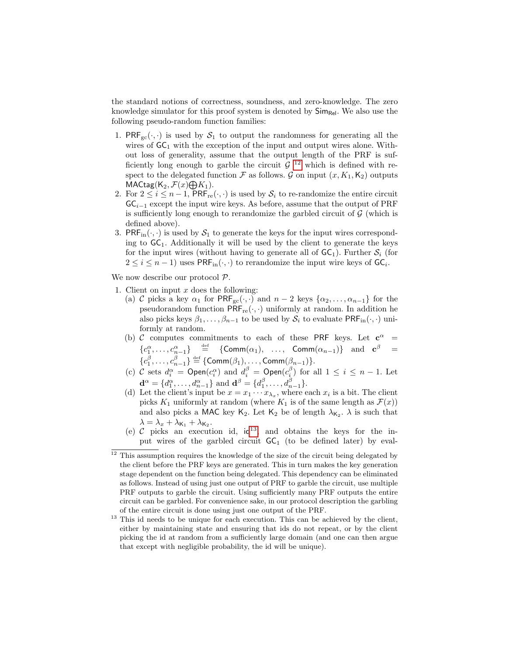the standard notions of correctness, soundness, and zero-knowledge. The zero knowledge simulator for this proof system is denoted by  $\mathsf{Sim}_{\mathsf{Rel}}$ . We also use the following pseudo-random function families:

- 1. PRF<sub>gc</sub>( $\cdot$ , $\cdot$ ) is used by  $S_1$  to output the randomness for generating all the wires of  $GC_1$  with the exception of the input and output wires alone. Without loss of generality, assume that the output length of the PRF is sufficiently long enough to garble the circuit  $G<sup>12</sup>$  $G<sup>12</sup>$  $G<sup>12</sup>$  which is defined with respect to the delegated function  $\mathcal F$  as follows.  $\mathcal G$  on input  $(x, K_1, K_2)$  outputs  $\mathsf{MACtag}(\mathsf{K}_2,\mathcal{F}(x)\bigoplus\!K_1).$
- 2. For  $2 \leq i \leq n-1$ , PRF<sub>re</sub> $(\cdot, \cdot)$  is used by  $S_i$  to re-randomize the entire circuit  $GC_{i-1}$  except the input wire keys. As before, assume that the output of PRF is sufficiently long enough to rerandomize the garbled circuit of  $\mathcal G$  (which is defined above).
- 3. PRF<sub>in</sub> $(\cdot, \cdot)$  is used by  $S_1$  to generate the keys for the input wires corresponding to  $GC<sub>1</sub>$ . Additionally it will be used by the client to generate the keys for the input wires (without having to generate all of  $GC<sub>1</sub>$ ). Further  $S<sub>i</sub>$  (for  $2 \leq i \leq n-1$ ) uses  $\mathsf{PRF}_{\text{in}}(\cdot, \cdot)$  to rerandomize the input wire keys of  $\mathsf{GC}_i$ .

We now describe our protocol  $P$ .

- 1. Client on input  $x$  does the following:
	- (a) C picks a key  $\alpha_1$  for PRF<sub>gc</sub>( $\cdot$ , ·) and  $n-2$  keys  $\{\alpha_2, \ldots, \alpha_{n-1}\}$  for the pseudorandom function  $\mathsf{PRF}_{re}(\cdot, \cdot)$  uniformly at random. In addition he also picks keys  $\beta_1, \ldots, \beta_{n-1}$  to be used by  $S_i$  to evaluate  $\mathsf{PRF}_{in}(\cdot, \cdot)$  uniformly at random.
	- (b) C computes commitments to each of these PRF keys. Let  $c^{\alpha}$  =  ${c_1^{\alpha}, \ldots, c_{n-1}^{\alpha}} \stackrel{\text{def}}{=} {\text{Comm}(\alpha_1), \ldots, \text{ Comm}(\alpha_{n-1})}$  and  $\mathbf{c}^{\beta} =$ 1  ${c_1^{\beta}, \ldots, c_{n-1}^{\beta}\} \stackrel{\text{def}}{=} {\text{Comm}(\beta_1), \ldots, \text{Comm}(\beta_{n-1})}.$
	- (c) C sets  $d_i^{\alpha} = \text{Open}(c_i^{\alpha})$  and  $d_i^{\beta} = \text{Open}(c_i^{\beta})$  for all  $1 \leq i \leq n-1$ . Let  $\mathbf{d}^{\alpha} = \{d_1^{\alpha}, \ldots, d_{n-1}^{\alpha}\}\$ and  $\mathbf{d}^{\beta} = \{d_1^{\beta}, \ldots, d_{n-1}^{\beta}\}.$
	- (d) Let the client's input be  $x = x_1 \cdots x_{\lambda_x}$ , where each  $x_i$  is a bit. The client picks  $K_1$  uniformly at random (where  $K_1$  is of the same length as  $\mathcal{F}(x)$ ) and also picks a MAC key  $K_2$ . Let  $K_2$  be of length  $\lambda_{K_2}$ .  $\lambda$  is such that  $\lambda = \lambda_x + \lambda_{\mathsf{K}_1} + \lambda_{\mathsf{K}_2}.$
	- (e)  $C$  picks an execution id,  $\mathsf{id}^{13}$  $\mathsf{id}^{13}$  $\mathsf{id}^{13}$ , and obtains the keys for the input wires of the garbled circuit  $GC_1$  (to be defined later) by eval-

<span id="page-12-0"></span> $12$  This assumption requires the knowledge of the size of the circuit being delegated by the client before the PRF keys are generated. This in turn makes the key generation stage dependent on the function being delegated. This dependency can be eliminated as follows. Instead of using just one output of PRF to garble the circuit, use multiple PRF outputs to garble the circuit. Using sufficiently many PRF outputs the entire circuit can be garbled. For convenience sake, in our protocol description the garbling of the entire circuit is done using just one output of the PRF.

<span id="page-12-1"></span><sup>&</sup>lt;sup>13</sup> This id needs to be unique for each execution. This can be achieved by the client, either by maintaining state and ensuring that ids do not repeat, or by the client picking the id at random from a sufficiently large domain (and one can then argue that except with negligible probability, the id will be unique).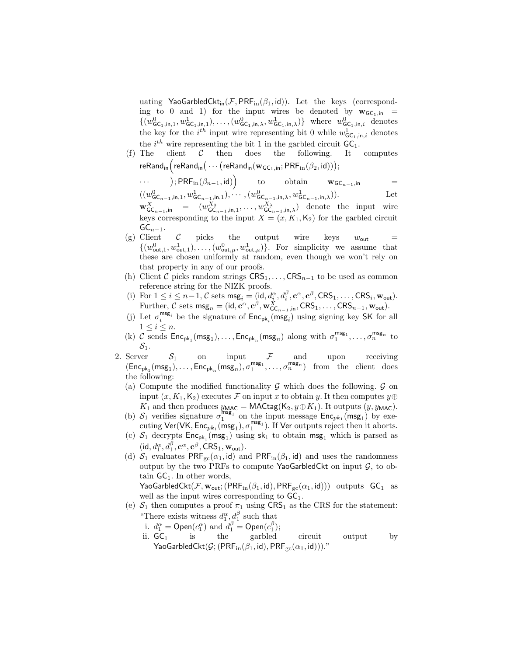uating YaoGarbledCkt<sub>in</sub>( $\mathcal{F}, \mathsf{PRF}_{in}(\beta_1, id)$ ). Let the keys (corresponding to 0 and 1) for the input wires be denoted by  $\mathbf{w}_{\mathsf{GC}_1, \mathsf{in}}$  $\{(w_{\mathsf{GC}_1, \mathsf{in}, 1}^0, w_{\mathsf{GC}_1, \mathsf{in}, 1}^1), \ldots, (w_{\mathsf{GC}_1, \mathsf{in}, \lambda}^0, w_{\mathsf{GC}_1, \mathsf{in}, \lambda}^1)\}$  where  $w_{\mathsf{GC}_1, \mathsf{in}, i}^0$  denotes the key for the  $i^{th}$  input wire representing bit 0 while  $w$ <sup>1</sup><sub>6 $C$ <sub>1</sub>,in,*i*</sub> denotes the  $i^{th}$  wire representing the bit 1 in the garbled circuit  $GC_1$ .

(f) The client  $C$  then does the following. It computes  $\mathsf{reRand}_\mathsf{in}\big(\mathsf{reRand}_\mathsf{in}(\,\cdots\,(\mathsf{reRand}_\mathsf{in}(\mathbf{w}_{\mathsf{GC}_1,\mathsf{in}};\mathsf{PRF}_\mathsf{in}(\beta_2,\mathsf{id})))\big);$ 

 $\cdots$  ); PRF<sub>in</sub>( $\beta_{n-1}$ , id)) to obtain **w**<sub>GC<sub>n−1</sub>,in =</sub>  $((w_{\mathsf{GC}_{n-1},\mathsf{in},1}^0, w_{\mathsf{GC}_{n-1},\mathsf{in},1}^1), \cdots, (w_{\mathsf{GC}_{n-1},\mathsf{in},\lambda}^0, w_{\mathsf{GC}_{n-1},\mathsf{in},\lambda}^1)).$  Let  $\mathbf{w}_{\mathsf{GC}_{n-1},\mathsf{in}}^{X} = (w_{\mathsf{GC}_{n-1},\mathsf{in},1}^{X_0}, \ldots, w_{\mathsf{GC}_{n-1},\mathsf{in},\lambda}^{X_{\lambda}})$  denote the input wire keys corresponding to the input  $X = (x, K_1, K_2)$  for the garbled circuit

- $\mathsf{GC}_{n-1}.$ <br>(g) Client C picks the output wire keys  $w_{\text{out}}$  =  $\{(w_{\text{out},1}^0, w_{\text{out},1}^1), \ldots, (w_{\text{out},\mu}^0, w_{\text{out},\mu}^1)\}$ . For simplicity we assume that these are chosen uniformly at random, even though we won't rely on that property in any of our proofs.
- (h) Client C picks random strings  $CRS_1, \ldots, CRS_{n-1}$  to be used as common reference string for the NIZK proofs.
- (i) For  $1 \le i \le n-1$ ,  $C$  sets  $\text{msg}_i = (\text{id}, d_i^{\alpha}, d_i^{\beta}, \mathbf{c}^{\alpha}, \mathbf{c}^{\beta}, \text{CRS}_1, \dots, \text{CRS}_i, \mathbf{w}_{\text{out}})$ . Further, C sets  $\text{msg}_n = (\text{id}, \mathbf{c}^\alpha, \mathbf{c}^\beta, \mathbf{w}_{\mathsf{GC}_{n-1},\text{in}}^X, \mathsf{CRS}_1, \dots, \mathsf{CRS}_{n-1}, \mathbf{w}_{\text{out}}).$
- (j) Let  $\sigma_i^{\text{msg}_i}$  be the signature of  $\text{Enc}_{pk_i}(\text{msg}_i)$  using signing key SK for all  $1 \leq i \leq n$ .
- (k)  $\overline{C}$  sends  $Enc_{pk_1}(msg_1), \ldots, Enc_{pk_n}(msg_n)$  along with  $\sigma_1^{msg_1}, \ldots, \sigma_n^{msg_n}$  to  $\mathcal{S}_1$ .
- 2. Server  $S_1$  on input  $\mathcal F$  and upon receiving  $(\text{Enc}_{pk_1}(msg_1), \ldots, \text{Enc}_{pk_n}(msg_n), \sigma_1^{msg_1}, \ldots, \sigma_n^{msg_n})$  from the client does the following:
	- (a) Compute the modified functionality  $\mathcal G$  which does the following.  $\mathcal G$  on input  $(x, K_1, K_2)$  executes  $\mathcal F$  on input x to obtain y. It then computes  $y \oplus$  $K_1$  and then produces  $y_{\text{MAC}} = \text{MACtag}(K_2, y \oplus K_1)$ . It outputs  $(y, y_{\text{MAC}})$ .
	- (b)  $S_1$  verifies signature  $\sigma_1^{\text{msg}_1}$  on the input message  $\text{Enc}_{pk_1}(\text{msg}_1)$  by executing  $Ver(VK, Enc<sub>pk<sub>1</sub></sub>(msg<sub>1</sub>), \sigma<sub>1</sub><sup>msg<sub>1</sub></sup>).$  If Ver outputs reject then it aborts.
	- (c)  $S_1$  decrypts  $Enc_{pk_1}(msg_1)$  using  $sk_1$  to obtain  $msg_1$  which is parsed as  $(\mathsf{id}, d_1^{\alpha}, d_1^{\beta}, \mathbf{c}^{\alpha}, \mathbf{c}^{\beta}, \mathsf{CRS}_1, \mathbf{w}_{\mathsf{out}}).$
	- (d)  $S_1$  evaluates PRF<sub>gc</sub>( $\alpha_1$ , id) and PRF<sub>in</sub>( $\beta_1$ , id) and uses the randomness output by the two PRFs to compute YaoGarbledCkt on input  $G$ , to obtain  $GC_1$ . In other words,

YaoGarbledCkt( $\mathcal{F}$ ,  $w_{out}$ ; (PRF<sub>in</sub>( $\beta_1$ , id), PRF<sub>gc</sub>( $\alpha_1$ , id))) outputs GC<sub>1</sub> as well as the input wires corresponding to  $GC_1$ .

(e)  $S_1$  then computes a proof  $\pi_1$  using CRS<sub>1</sub> as the CRS for the statement: "There exists witness  $d_1^{\alpha}, d_1^{\beta}$  such that

i.  $d_1^{\alpha} = \mathsf{Open}(c_1^{\alpha})$  and  $d_1^{\beta} = \mathsf{Open}(c_1^{\beta})$ ;

ii.  $GC_1$  is the garbled circuit output by YaoGarbledCkt $(\mathcal{G}; (PRF_{in}(\beta_1, id), PRF_{gc}(\alpha_1, id)))$ ."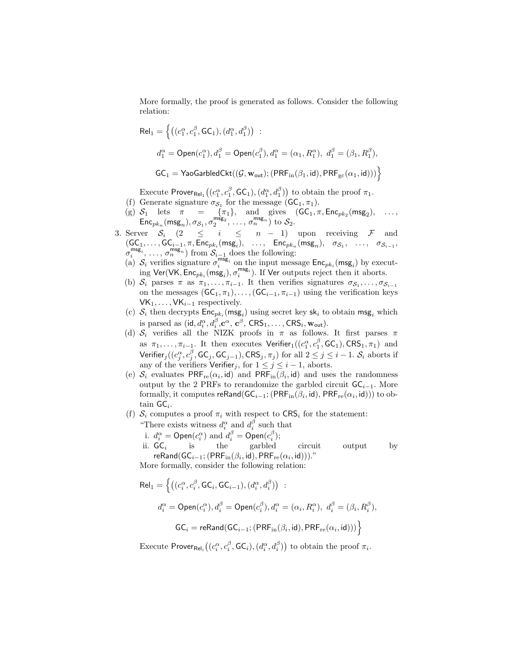More formally, the proof is generated as follows. Consider the following relation:

$$
\begin{array}{l} \mathsf{Rel}_1 = \Big\{ \big( (c_1^\alpha, c_1^\beta, \mathsf{GC}_1), (d_1^\alpha, d_1^\beta) \big) \; : \\ \\ d_1^\alpha = \mathsf{Open}(c_1^\alpha), d_1^\beta = \mathsf{Open}(c_1^\beta), d_1^\alpha = (\alpha_1, R_1^\alpha), \; d_1^\beta = (\beta_1, R_1^\beta), \\ \\ \mathsf{GC}_1 = \mathsf{YaoGarbledCkt}((\mathcal{G}, \mathbf{w}_{\mathsf{out}}); (\mathsf{PRF}_{\mathrm{in}}(\beta_1, \mathsf{id}), \mathsf{PRF}_{\mathrm{gc}}(\alpha_1, \mathsf{id}))) \Big\} \end{array}
$$

Execute Prover<sub>Rel<sub>1</sub></sub>  $((c_1^{\alpha}, c_1^{\beta}, \textsf{GC}_1), (d_1^{\alpha}, d_1^{\beta}))$  to obtain the proof  $\pi_1$ . (f) Generate signature  $\sigma_{\mathcal{S}_1}$  for the message (GC<sub>1</sub>,  $\pi_1$ ).

- (g)  $S_1$  lets  $\pi = {\pi_1}$ , and gives  $(\mathsf{GC}_1, \pi, \mathsf{Enc}_{pk_2}(\mathsf{msg}_2))$ ), . . . ,  $\overline{\text{Enc}}_{pk_n}(\text{msg}_n), \sigma_{S_1}, \sigma_2^{\text{msg}_2}, \ldots, \sigma_n^{\text{msg}_n})$  to  $S_2$ .
- 3. Server  $S_i$  (2  $\leq i \leq n-1$ ) upon receiving  $\mathcal{F}$  and  $(\mathsf{GC}_1,\ldots,\mathsf{GC}_{i-1},\pi,\mathsf{Enc}_{pk_i}(\mathsf{msg}_i),\ \ldots,\ \mathsf{Enc}_{pk_n}(\mathsf{msg}_n),\ \ \sigma_{\mathcal{S}_1},\ \ldots,\ \ \sigma_{\mathcal{S}_{i-1}},$  $\sigma_i^{\text{msg}_i}, \ldots, \sigma_n^{\text{msg}_n}$  from  $S_{i-1}$  does the following:
	- (a)  $S_i$  verifies signature  $\sigma_i^{\text{msg}_i}$  on the input message  $\text{Enc}_{pk_i}(\text{msg}_i)$  by executing  $\text{Ver}(\text{VK}, \text{Enc}_{pk_i}(\text{msg}_i), \sigma_i^{\text{msg}_i})$ . If  $\text{Ver}$  outputs reject then it aborts.
	- (b)  $S_i$  parses  $\pi$  as  $\pi_1, \ldots, \pi_{i-1}$ . It then verifies signatures  $\sigma_{S_1}, \ldots, \sigma_{S_{i-1}}$ on the messages  $(GC_1, \pi_1), \ldots, (GC_{i-1}, \pi_{i-1})$  using the verification keys  $VK_1, \ldots, VK_{i-1}$  respectively.
	- (c)  $S_i$  then decrypts  $\mathsf{Enc}_{pk_i}(\mathsf{msg}_i)$  using secret key sk<sub>i</sub> to obtain  $\mathsf{msg}_i$  which is parsed as  $(id, d_i^{\alpha}, d_i^{\beta}, c^{\alpha}, c^{\beta}, CRS_1, \ldots, CRS_i, w_{out})$ .
	- (d)  $S_i$  verifies all the NIZK proofs in  $\pi$  as follows. It first parses  $\pi$ as  $\pi_1, \ldots, \pi_{i-1}$ . It then executes  $\mathsf{Verifier}_1((c_1^{\alpha}, c_1^{\beta}, \mathsf{GC}_1), \mathsf{CRS}_1, \pi_1)$  and Verifier $_j((c^\alpha_j, c^\beta_j, \mathsf{GC}_j, \mathsf{GC}_{j-1}), \mathsf{CRS}_j, \pi_j)$  for all  $2 \leq j \leq i-1.$   $\mathcal{S}_i$  aborts if any of the verifiers Verifier<sub>j</sub>, for  $1 \le j \le i - 1$ , aborts.
	- (e)  $S_i$  evaluates PRF<sub>re</sub>( $\alpha_i$ , id) and PRF<sub>in</sub>( $\beta_i$ , id) and uses the randomness output by the 2 PRFs to rerandomize the garbled circuit  $\mathsf{GC}_{i-1}$ . More formally, it computes  ${\sf reRand}({\sf GC}_{i-1};({\sf PRF}_{\sf in}(\beta_i,\sf id), {\sf PRF}_{\sf re}(\alpha_i,\sf id)))$  to obtain  $\mathsf{GC}_i$ .
	- (f)  $S_i$  computes a proof  $\pi_i$  with respect to  $CRS_i$  for the statement: "There exists witness  $d_i^{\alpha}$  and  $d_i^{\beta}$  such that
		- i.  $d_i^{\alpha} = \mathsf{Open}(c_i^{\alpha})$  and  $d_i^{\beta} = \mathsf{Open}(c_i^{\beta});$
		- ii.  $GC_i$  is the garbled circuit output by  $\mathsf{reRand}(\mathsf{GC}_{i-1};(\mathsf{PRF}_{\text{in}}(\beta_i,\mathsf{id}),\mathsf{PRF}_{\text{re}}(\alpha_i,\mathsf{id})))."$

More formally, consider the following relation:

$$
\begin{array}{ll} \mathsf{Rel}_1 = \Big\{ \big( (c^{\alpha}_i, c^{\beta}_i, \mathsf{GC}_i, \mathsf{GC}_{i-1}), (d^{\alpha}_i, d^{\beta}_i) \big) \; : \\ & & \\ & d^{\alpha}_i = \mathsf{Open}(c^{\alpha}_i), d^{\beta}_i = \mathsf{Open}(c^{\beta}_i), d^{\alpha}_i = (\alpha_i, R^{\alpha}_i), \; d^{\beta}_i = (\beta_i, R^{\beta}_i), \\ & & \\ \mathsf{GC}_i = \mathsf{reRand}(\mathsf{GC}_{i-1}; (\mathsf{PRF}_{\mathrm{in}}(\beta_i, \mathsf{id}), \mathsf{PRF}_{\mathrm{re}}(\alpha_i, \mathsf{id}))) \Big\} \end{array}
$$

Execute Prover<sub>Rel<sub>i</sub>  $\left((c_i^{\alpha},c_i^{\beta},\mathsf{GC}_i),(d_i^{\alpha},d_i^{\beta})\right)$  to obtain the proof  $\pi_i$ .</sub>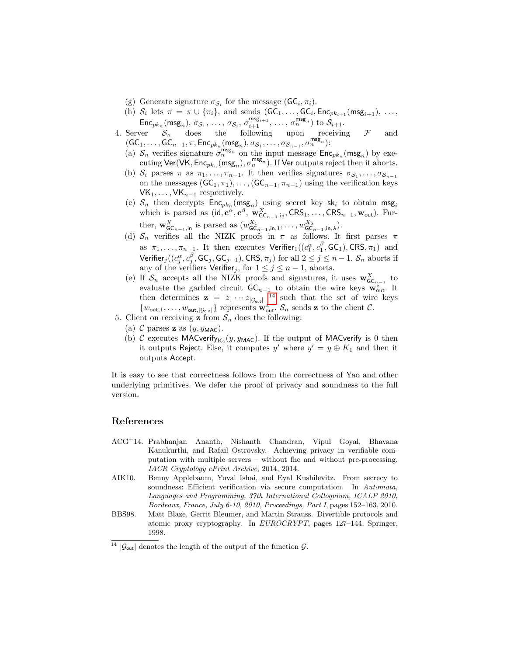- (g) Generate signature  $\sigma_{\mathcal{S}_i}$  for the message ( $\mathsf{GC}_i, \pi_i$ ).
- (h)  $S_i$  lets  $\pi = \pi \cup {\pi_i}$ , and sends  $(\mathsf{GC}_1, \ldots, \mathsf{GC}_i, \mathsf{Enc}_{pk_{i+1}}(\mathsf{msg}_{i+1}), \ldots,$  $\textsf{Enc}_{pk_n}(\textsf{msg}_n), \sigma_{S_1}, \ldots, \sigma_{S_i}, \sigma_{i+1}^{\textsf{msg}_{i+1}}, \ldots, \sigma_n^{\textsf{msg}_n}) \text{ to } S_{i+1}.$
- 4. Server  $S_n$  does the following upon receiving  $\mathcal{F}$  and  $(\mathsf{GC}_1,\ldots,\mathsf{GC}_{n-1},\pi,\mathsf{Enc}_{pk_n}(\mathsf{msg}_n),\sigma_{\mathcal{S}_1},\ldots,\sigma_{\mathcal{S}_{n-1}},\sigma_n^{\mathsf{msg}_n})$ :
	- (a)  $S_n$  verifies signature  $\sigma_n^{\text{msg}_n}$  on the input message  $\text{Enc}_{pk_n}(\text{msg}_n)$  by executing  $\text{Ver}(\text{VK}, \text{Enc}_{pk_n}(\text{msg}_n), \sigma_n^{\text{msg}_n})$ . If Ver outputs reject then it aborts.
	- (b)  $S_i$  parses  $\pi$  as  $\pi_1, \ldots, \pi_{n-1}$ . It then verifies signatures  $\sigma_{S_1}, \ldots, \sigma_{S_{n-1}}$ on the messages  $(GC_1, \pi_1), \ldots, (GC_{n-1}, \pi_{n-1})$  using the verification keys  $VK_1, \ldots, VK_{n-1}$  respectively.
	- (c)  $S_n$  then decrypts  $Enc_{pk_n}(\text{msg}_n)$  using secret key sk<sub>i</sub> to obtain  $\text{msg}_i$ which is parsed as  $(id, \mathbf{c}^{\alpha}, \mathbf{c}^{\beta}, \mathbf{w}_{\mathsf{GC}_{n-1},in}^X, \mathsf{CRS}_1, \ldots, \mathsf{CRS}_{n-1}, \mathbf{w}_{\mathsf{out}})$ . Further,  $\mathbf{w}_{\mathsf{GC}_{n-1},\mathsf{in}}^X$  is parsed as  $(w_{\mathsf{GC}_{n-1},\mathsf{in},1}^{X_1},\ldots,w_{\mathsf{GC}_{n-1},\mathsf{in},\lambda}^{X_\lambda}).$
	- (d)  $S_n$  verifies all the NIZK proofs in  $\pi$  as follows. It first parses  $\pi$ as  $\pi_1, \ldots, \pi_{n-1}$ . It then executes Verifier<sub>1</sub>(( $c_1^{\alpha}, c_1^{\beta}, \textsf{GC}_1$ ), CRS,  $\pi_1$ ) and Verifier $_j((c_j^{\alpha},c_j^{\beta},\mathsf{GC}_j,\mathsf{GC}_{j-1}),\mathsf{CRS},\pi_j)$  for all  $2\leq j\leq n-1.$   $\mathcal{S}_n$  aborts if any of the verifiers  $\mathsf{Verifier}_j$ , for  $1 \leq j \leq n-1$ , aborts.
	- (e) If  $S_n$  accepts all the NIZK proofs and signatures, it uses  $\mathbf{w}_{\mathsf{GC}_{n-1}}^X$  to  $G_n$  accepts an the NER proofs and signatures, it uses  $w_{GC_{n-1}}$  to evaluate the garbled circuit  $GC_{n-1}$  to obtain the wire keys  $w_{out}^2$ . It then determines  $\mathbf{z} = z_1 \cdots z_{|\mathcal{G}_{out}|}$  <sup>[14](#page-15-3)</sup> such that the set of wire keys  $\{w_{\text{out},1},\ldots,w_{\text{out},|\mathcal{G}_{\text{out}}|}\}$  represents  $\mathbf{w}_{\text{out}}^z$ .  $\mathcal{S}_n$  sends **z** to the client  $\mathcal{C}$ .
- 5. Client on receiving **z** from  $S_n$  does the following:
	- (a) C parses **z** as  $(y, y_{MAC})$ .
	- (b) C executes  $\mathsf{MAC}$ verify<sub>K<sub>2</sub></sub> $(y, y_{\mathsf{MAC}})$ . If the output of MACverify is 0 then it outputs Reject. Else, it computes  $y'$  where  $y' = y \oplus K_1$  and then it outputs Accept.

It is easy to see that correctness follows from the correctness of Yao and other underlying primitives. We defer the proof of privacy and soundness to the full version.

## References

- <span id="page-15-2"></span>ACG<sup>+</sup>14. Prabhanjan Ananth, Nishanth Chandran, Vipul Goyal, Bhavana Kanukurthi, and Rafail Ostrovsky. Achieving privacy in verifiable computation with multiple servers – without fhe and without pre-processing. IACR Cryptology ePrint Archive, 2014, 2014.
- <span id="page-15-0"></span>AIK10. Benny Applebaum, Yuval Ishai, and Eyal Kushilevitz. From secrecy to soundness: Efficient verification via secure computation. In Automata, Languages and Programming, 37th International Colloquium, ICALP 2010, Bordeaux, France, July 6-10, 2010, Proceedings, Part I, pages 152–163, 2010.
- <span id="page-15-1"></span>BBS98. Matt Blaze, Gerrit Bleumer, and Martin Strauss. Divertible protocols and atomic proxy cryptography. In  $EUROCRYPT$ , pages 127–144. Springer, 1998.

<span id="page-15-3"></span><sup>&</sup>lt;sup>14</sup>  $|\mathcal{G}_{\text{out}}|$  denotes the length of the output of the function  $\mathcal{G}$ .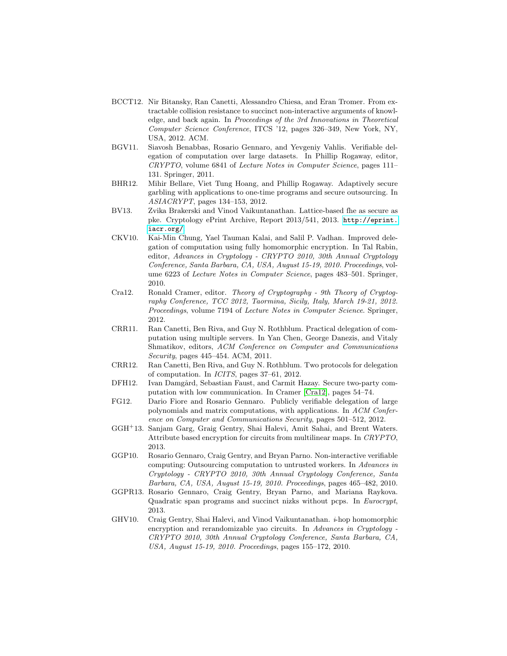- <span id="page-16-4"></span>BCCT12. Nir Bitansky, Ran Canetti, Alessandro Chiesa, and Eran Tromer. From extractable collision resistance to succinct non-interactive arguments of knowledge, and back again. In Proceedings of the 3rd Innovations in Theoretical Computer Science Conference, ITCS '12, pages 326–349, New York, NY, USA, 2012. ACM.
- <span id="page-16-7"></span>BGV11. Siavosh Benabbas, Rosario Gennaro, and Yevgeniy Vahlis. Verifiable delegation of computation over large datasets. In Phillip Rogaway, editor, CRYPTO, volume 6841 of Lecture Notes in Computer Science, pages 111– 131. Springer, 2011.
- <span id="page-16-12"></span>BHR12. Mihir Bellare, Viet Tung Hoang, and Phillip Rogaway. Adaptively secure garbling with applications to one-time programs and secure outsourcing. In ASIACRYPT, pages 134–153, 2012.
- <span id="page-16-2"></span>BV13. Zvika Brakerski and Vinod Vaikuntanathan. Lattice-based fhe as secure as pke. Cryptology ePrint Archive, Report 2013/541, 2013. [http://eprint.](http://eprint.iacr.org/) [iacr.org/](http://eprint.iacr.org/).
- <span id="page-16-1"></span>CKV10. Kai-Min Chung, Yael Tauman Kalai, and Salil P. Vadhan. Improved delegation of computation using fully homomorphic encryption. In Tal Rabin, editor, Advances in Cryptology - CRYPTO 2010, 30th Annual Cryptology Conference, Santa Barbara, CA, USA, August 15-19, 2010. Proceedings, volume 6223 of Lecture Notes in Computer Science, pages 483-501. Springer, 2010.
- <span id="page-16-13"></span>Cra12. Ronald Cramer, editor. Theory of Cryptography - 9th Theory of Cryptography Conference, TCC 2012, Taormina, Sicily, Italy, March 19-21, 2012. Proceedings, volume 7194 of Lecture Notes in Computer Science. Springer, 2012.
- <span id="page-16-10"></span>CRR11. Ran Canetti, Ben Riva, and Guy N. Rothblum. Practical delegation of computation using multiple servers. In Yan Chen, George Danezis, and Vitaly Shmatikov, editors, ACM Conference on Computer and Communications Security, pages 445–454. ACM, 2011.
- <span id="page-16-11"></span>CRR12. Ran Canetti, Ben Riva, and Guy N. Rothblum. Two protocols for delegation of computation. In ICITS, pages 37–61, 2012.
- <span id="page-16-5"></span>DFH12. Ivan Damgård, Sebastian Faust, and Carmit Hazay. Secure two-party computation with low communication. In Cramer [\[Cra12\]](#page-16-13), pages 54–74.
- <span id="page-16-8"></span>FG12. Dario Fiore and Rosario Gennaro. Publicly verifiable delegation of large polynomials and matrix computations, with applications. In ACM Conference on Computer and Communications Security, pages 501–512, 2012.
- <span id="page-16-9"></span>GGH<sup>+</sup>13. Sanjam Garg, Graig Gentry, Shai Halevi, Amit Sahai, and Brent Waters. Attribute based encryption for circuits from multilinear maps. In CRYPTO, 2013.
- <span id="page-16-0"></span>GGP10. Rosario Gennaro, Craig Gentry, and Bryan Parno. Non-interactive verifiable computing: Outsourcing computation to untrusted workers. In Advances in Cryptology - CRYPTO 2010, 30th Annual Cryptology Conference, Santa Barbara, CA, USA, August 15-19, 2010. Proceedings, pages 465–482, 2010.
- <span id="page-16-6"></span>GGPR13. Rosario Gennaro, Craig Gentry, Bryan Parno, and Mariana Raykova. Quadratic span programs and succinct nizks without pcps. In Eurocrypt, 2013.
- <span id="page-16-3"></span>GHV10. Craig Gentry, Shai Halevi, and Vinod Vaikuntanathan. i-hop homomorphic encryption and rerandomizable yao circuits. In Advances in Cryptology - CRYPTO 2010, 30th Annual Cryptology Conference, Santa Barbara, CA, USA, August 15-19, 2010. Proceedings, pages 155–172, 2010.